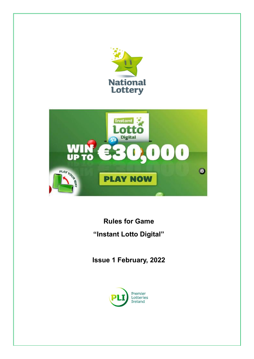



# **Rules for Game**

# **"Instant Lotto Digital"**

**Issue 1 February, 2022**

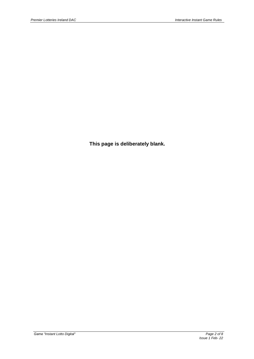**This page is deliberately blank.**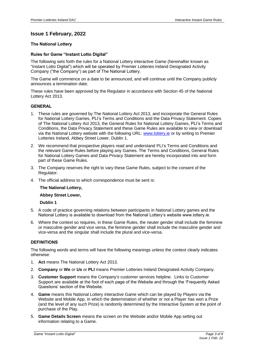# **Issue 1 February, 2022**

# **The National Lottery**

### **Rules for Game "Instant Lotto Digital"**

The following sets forth the rules for a National Lottery interactive Game (hereinafter known as "Instant Lotto Digital") which will be operated by Premier Lotteries Ireland Designated Activity Company ("the Company") as part of The National Lottery.

The Game will commence on a date to be announced, and will continue until the Company publicly announces a termination date.

These rules have been approved by the Regulator in accordance with Section 45 of the National Lottery Act 2013.

## **GENERAL**

- 1. These rules are governed by The National Lottery Act 2013, and incorporate the General Rules for National Lottery Games, PLI's Terms and Conditions and the Data Privacy Statement. Copies of The National Lottery Act 2013, the General Rules for National Lottery Games, PLI's Terms and Conditions, the Data Privacy Statement and these Game Rules are available to view or download via the National Lottery website with the following URL: [www.lottery.ie](http://www.lotto.ie/) or by writing to Premier Lotteries Ireland, Abbey Street Lower, Dublin 1.
- 2. We recommend that prospective players read and understand PLI's Terms and Conditions and the relevant Game Rules before playing any Games. The Terms and Conditions, General Rules for National Lottery Games and Data Privacy Statement are hereby incorporated into and form part of these Game Rules.
- 3. The Company reserves the right to vary these Game Rules, subject to the consent of the Regulator.
- 4. The official address to which correspondence must be sent is:

#### **The National Lottery,**

### **Abbey Street Lower,**

**Dublin 1**

- 5. A code of practice governing relations between participants in National Lottery games and the National Lottery is available to download from the National Lottery's website www.lottery.ie.
- 6. Where the context so requires, in these Game Rules, the neuter gender shall include the feminine or masculine gender and vice versa, the feminine gender shall include the masculine gender and vice-versa and the singular shall include the plural and vice-versa.

# **DEFINITIONS**

The following words and terms will have the following meanings unless the context clearly indicates otherwise:

- 1. **Act** means The National Lottery Act 2013.
- 2. **Company** or **We** or **Us** or **PLI** means Premier Lotteries Ireland Designated Activity Company.
- 3. **Customer Support** means the Company's customer services helpline. Links to Customer Support are available at the foot of each page of the Website and through the 'Frequently Asked Questions' section of the Website.
- 4. **Game** means this National Lottery interactive Game which can be played by Players via the Website and Mobile App, in which the determination of whether or not a Player has won a Prize (and the level of any such Prize) is randomly determined by the Interactive System at the point of purchase of the Play.
- 5. **Game Details Screen** means the screen on the Website and/or Mobile App setting out information relating to a Game.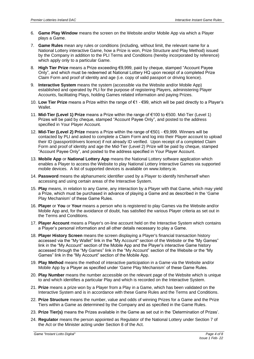- 6. **Game Play Window** means the screen on the Website and/or Mobile App via which a Player plays a Game.
- 7. **Game Rules** mean any rules or conditions (including, without limit, the relevant name for a National Lottery interactive Game, how a Prize is won, Prize Structure and Play Method) issued by the Company in addition to the PLI Terms and Conditions (hereby incorporated by reference) which apply only to a particular Game.
- 8. **High Tier Prize** means a Prize exceeding €9,999, paid by cheque, stamped "Account Payee Only", and which must be redeemed at National Lottery HQ upon receipt of a completed Prize Claim Form and proof of identity and age (i.e. copy of valid passport or driving licence).
- 9. **Interactive System** means the system (accessible via the Website and/or Mobile App) established and operated by PLI for the purpose of registering Players, administering Player Accounts, facilitating Plays, holding Games related information and paying Prizes.
- 10. **Low Tier Prize** means a Prize within the range of €1 €99, which will be paid directly to a Player's Wallet.
- 11. **Mid-Tier (Level 1) Prize** means a Prize within the range of €100 to €500. Mid-Tier (Level 1) Prizes will be paid by cheque, stamped "Account Payee Only", and posted to the address specified in Your Player Account.
- 12. **Mid-Tier (Level 2) Prize** means a Prize within the range of €501 €9,999. Winners will be contacted by PLI and asked to complete a Claim Form and log into their Player account to upload their ID (passport/drivers licence) if not already ID verified. Upon receipt of a completed Claim Form and proof of identity and age the Mid-Tier (Level 2) Prize will be paid by cheque, stamped "Account Payee Only", and posted to the address specified in Your Player Account.
- 13. **Mobile App** or **National Lottery App** means the National Lottery software application which enables a Player to access the Website to play National Lottery Interactive Games via supported mobile devices. A list of supported devices is available on www.lottery.ie.
- 14. **Password** means the alphanumeric identifier used by a Player to identify him/herself when accessing and using certain areas of the Interactive System.
- 15. **Play** means, in relation to any Game, any interaction by a Player with that Game, which may yield a Prize, which must be purchased in advance of playing a Game and as described in the 'Game Play Mechanism' of these Game Rules.
- 16. **Player** or **You** or **Your** means a person who is registered to play Games via the Website and/or Mobile App and, for the avoidance of doubt, has satisfied the various Player criteria as set out in the Terms and Conditions.
- 17. **Player Account** means a Player's on-line account held on the Interactive System which contains a Player's personal information and all other details necessary to play a Game.
- 18. **Player History Screen** means the screen displaying a Player's financial transaction history accessed via the "My Wallet" link in the "My Account" section of the Website or the "My Games" link in the "My Account" section of the Mobile App and the Player's interactive Game history accessed through the "My Games" link in the "My Account" section of the Website or the "My Games" link in the "My Account" section of the Mobile App.
- 19. **Play Method** means the method of interactive participation in a Game via the Website and/or Mobile App by a Player as specified under 'Game Play Mechanism' of these Game Rules.
- 20. **Play Number** means the number accessible on the relevant page of the Website which is unique to and which identifies a particular Play and which is recorded on the Interactive System.
- 21. **Prize** means a prize won by a Player from a Play in a Game, which has been validated on the Interactive System and is in accordance with these Game Rules and the Terms and Conditions.
- 22. **Prize Structure** means the number, value and odds of winning Prizes for a Game and the Prize Tiers within a Game as determined by the Company and as specified in the Game Rules.
- 23. **Prize Tier(s)** means the Prizes available in the Game as set out in the 'Determination of Prizes'.
- 24. **Regulator** means the person appointed as Regulator of the National Lottery under Section 7 of the Act or the Minister acting under Section 8 of the Act.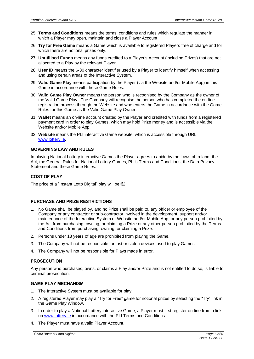- 25. **Terms and Conditions** means the terms, conditions and rules which regulate the manner in which a Player may open, maintain and close a Player Account.
- 26. **Try for Free Game** means a Game which is available to registered Players free of charge and for which there are notional prizes only.
- 27. **Unutilised Funds** means any funds credited to a Player's Account (including Prizes) that are not allocated to a Play by the relevant Player.
- 28. **User ID** means the 6-30 character identifier used by a Player to identify himself when accessing and using certain areas of the Interactive System.
- 29. **Valid Game Play** means participation by the Player (via the Website and/or Mobile App) in this Game in accordance with these Game Rules.
- 30. **Valid Game Play Owner** means the person who is recognised by the Company as the owner of the Valid Game Play. The Company will recognise the person who has completed the on-line registration process through the Website and who enters the Game in accordance with the Game Rules for this Game as the Valid Game Play Owner.
- 31. **Wallet** means an on-line account created by the Player and credited with funds from a registered payment card in order to play Games, which may hold Prize money and is accessible via the Website and/or Mobile App.
- 32. **Website** means the PLI interactive Game website, which is accessible through URL www.lottery.ie.

# **GOVERNING LAW AND RULES**

In playing National Lottery interactive Games the Player agrees to abide by the Laws of Ireland, the Act, the General Rules for National Lottery Games, PLI's Terms and Conditions, the Data Privacy Statement and these Game Rules.

# **COST OF PLAY**

The price of a "Instant Lotto Digital" play will be €2.

## **PURCHASE AND PRIZE RESTRICTIONS**

- 1. No Game shall be played by, and no Prize shall be paid to, any officer or employee of the Company or any contractor or sub-contractor involved in the development, support and/or maintenance of the Interactive System or Website and/or Mobile App, or any person prohibited by the Act from purchasing, owning, or claiming a Prize or any other person prohibited by the Terms and Conditions from purchasing, owning, or claiming a Prize.
- 2. Persons under 18 years of age are prohibited from playing the Game.
- 3. The Company will not be responsible for lost or stolen devices used to play Games.
- 4. The Company will not be responsible for Plays made in error.

## **PROSECUTION**

Any person who purchases, owns, or claims a Play and/or Prize and is not entitled to do so, is liable to criminal prosecution.

#### **GAME PLAY MECHANISM**

- 1. The Interactive System must be available for play.
- 2. A registered Player may play a "Try for Free" game for notional prizes by selecting the "Try" link in the Game Play Window.
- 3. In order to play a National Lottery interactive Game, a Player must first register on-line from a link on [www.lottery.ie](http://www.lotto.ie/) in accordance with the PLI Terms and Conditions.
- 4. The Player must have a valid Player Account.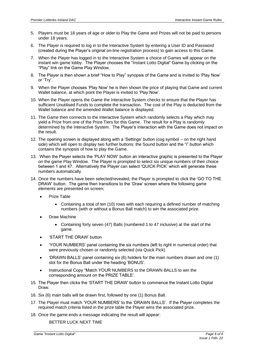- 5. Players must be 18 years of age or older to Play the Game and Prizes will not be paid to persons under 18 years.
- 6. The Player is required to log in to the Interactive System by entering a User ID and Password (created during the Player's original on-line registration process) to gain access to this Game.
- 7. When the Player has logged in to the Interactive System a choice of Games will appear on the instant win game lobby. The Player chooses the "Instant Lotto Digital" Game by clicking on the "Play" link on the Game Play Window.
- 8. The Player is then shown a brief "How to Play" synopsis of the Game and is invited to 'Play Now' or 'Try'.
- 9. When the Player chooses 'Play Now' he is then shown the price of playing that Game and current Wallet balance, at which point the Player is invited to 'Play Now'.
- 10. When the Player opens the Game the Interactive System checks to ensure that the Player has sufficient Unutilised Funds to complete the transaction. The cost of the Play is deducted from the Wallet balance and the amended Wallet balance is displayed.
- 11. The Game then connects to the Interactive System which randomly selects a Play which may yield a Prize from one of the Prize Tiers for this Game. The result for a Play is randomly determined by the Interactive System. The Player's interaction with the Game does not impact on the result.
- 12. The opening screen is displayed along with a 'Settings' button (cog symbol on the right hand side) which will open to display two further buttons: the Sound button and the "i" button which contains the synopsis of how to play the Game.
- 13. When the Player selects the 'PLAY NOW' button an interactive graphic is presented to the Player on the game Play Window. The Player is prompted to select six unique numbers of their choice between 1 and 47. Alternatively the Player can select 'QUICK PICK' which will generate these numbers automatically.
- 14. Once the numbers have been selected/revealed, the Player is prompted to click the 'GO TO THE DRAW' button. The game then transitions to the 'Draw' screen where the following game elements are presented on screen;
	- Prize Table
		- Containing a total of ten (10) rows with each requiring a defined number of matching numbers (with or without a Bonus Ball match) to win the associated prize.
	- Draw Machine
		- Containing forty seven (47) Balls (numbered 1 to 47 inclusive) at the start of the game.
	- 'START THE DRAW' button
	- 'YOUR NUMBERS' panel containing the six numbers (left to right in numerical order) that were previously chosen or randomly selected (via Quick Pick)
	- 'DRAWN BALLS' panel containing six (6) holders for the main numbers drawn and one (1) slot for the Bonus Ball under the heading 'BONUS'.
	- Instructional Copy "Match YOUR NUMBERS to the DRAWN BALLS to win the corresponding amount on the PRIZE TABLE'.
- 15. The Player then clicks the 'START THE DRAW' button to commence the Instant Lotto Digital Draw.
- 16. Six (6) main balls will be drawn first, followed by one (1) Bonus Ball.
- 17. The Player must match 'YOUR NUMBERS' to the 'DRAWN BALLS'. If the Player completes the required match criteria listed in the prize table the Player wins the associated prize.
- 18. Once the game ends a message indicating the result will appear:

BETTER LUCK NEXT TIME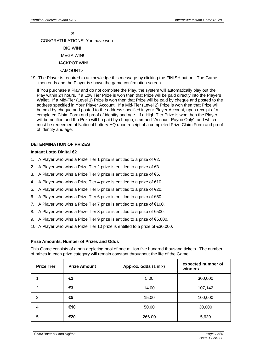**or** *or* **or**  CONGRATULATIONS! You have won BIG WIN! MEGA WIN! JACKPOT WIN! <AMOUNT>

19. The Player is required to acknowledge this message by clicking the FINISH button. The Game then ends and the Player is shown the game confirmation screen.

If You purchase a Play and do not complete the Play, the system will automatically play out the Play within 24 hours. If a Low Tier Prize is won then that Prize will be paid directly into the Players Wallet. If a Mid-Tier (Level 1) Prize is won then that Prize will be paid by cheque and posted to the address specified in Your Player Account. If a Mid-Tier (Level 2) Prize is won then that Prize will be paid by cheque and posted to the address specified in your Player Account, upon receipt of a completed Claim Form and proof of identity and age. If a High-Tier Prize is won then the Player will be notified and the Prize will be paid by cheque, stamped "Account Payee Only", and which must be redeemed at National Lottery HQ upon receipt of a completed Prize Claim Form and proof of identity and age.

# **DETERMINATION OF PRIZES**

#### **Instant Lotto Digital €2**

- 1. A Player who wins a Prize Tier 1 prize is entitled to a prize of €2.
- 2. A Player who wins a Prize Tier 2 prize is entitled to a prize of  $\epsilon$ 3.
- 3. A Player who wins a Prize Tier 3 prize is entitled to a prize of €5.
- 4. A Player who wins a Prize Tier 4 prize is entitled to a prize of €10.
- 5. A Player who wins a Prize Tier 5 prize is entitled to a prize of €20.
- 6. A Player who wins a Prize Tier 6 prize is entitled to a prize of  $€50$ .
- 7. A Player who wins a Prize Tier 7 prize is entitled to a prize of €100.
- 8. A Player who wins a Prize Tier 8 prize is entitled to a prize of €500.
- 9. A Player who wins a Prize Tier 9 prize is entitled to a prize of €5,000.
- 10. A Player who wins a Prize Tier 10 prize is entitled to a prize of €30,000.

#### **Prize Amounts, Number of Prizes and Odds**

This Game consists of a non-depleting pool of one million five hundred thousand tickets. The number of prizes in each prize category will remain constant throughout the life of the Game.

| <b>Prize Tier</b> | <b>Prize Amount</b> | Approx. odds (1 in x) | expected number of<br>winners |
|-------------------|---------------------|-----------------------|-------------------------------|
|                   | €2                  | 5.00                  | 300,000                       |
| $\overline{2}$    | €3                  | 14.00                 | 107,142                       |
| 3                 | €5                  | 15.00                 | 100,000                       |
| 4                 | €10                 | 50.00                 | 30,000                        |
| 5                 | €20                 | 266.00                | 5,639                         |